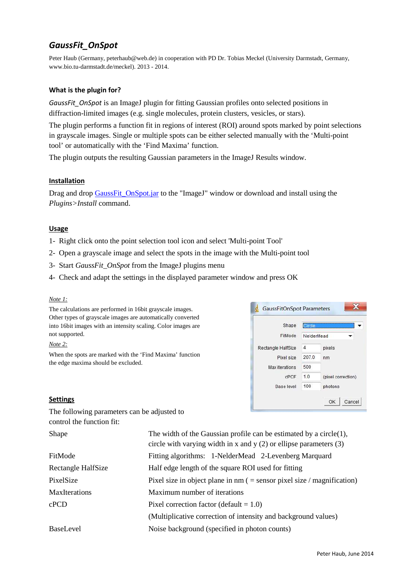# *GaussFit\_OnSpot*

Peter Haub (Germany, peterhaub@web.de) in cooperation with PD Dr. Tobias Meckel (University Darmstadt, Germany, www.bio.tu-darmstadt.de/meckel). 2013 - 2014.

# **What is the plugin for?**

*GaussFit\_OnSpot* is an ImageJ plugin for fitting Gaussian profiles onto selected positions in diffraction-limited images (e.g. single molecules, protein clusters, vesicles, or stars).

The plugin performs a function fit in regions of interest (ROI) around spots marked by point selections in grayscale images. Single or multiple spots can be either selected manually with the 'Multi-point tool' or automatically with the 'Find Maxima' function.

The plugin outputs the resulting Gaussian parameters in the ImageJ Results window.

# **Installation**

Drag and drop GaussFit\_OnSpot.jar to the "ImageJ" window or download and install using the *Plugins>Install* command.

# **Usage**

- 1- Right click onto the point selection tool icon and select 'Multi-point Tool'
- 2- Open a grayscale image and select the spots in the image with the Multi-point tool
- 3- Start *GaussFit\_OnSpot* from the ImageJ plugins menu
- 4- Check and adapt the settings in the displayed parameter window and press OK

## *Note 1:*

The calculations are performed in 16bit grayscale images. Other types of grayscale images are automatically converted into 16bit images with an intensity scaling. Color images are not supported.

### *Note 2:*

When the spots are marked with the 'Find Maxima' function the edge maxima should be excluded.



# **Settings**

The following parameters can be adjusted to control the function fit:

| Shape                | The width of the Gaussian profile can be estimated by a circle $(1)$ ,<br>circle with varying width in x and y $(2)$ or ellipse parameters $(3)$ |
|----------------------|--------------------------------------------------------------------------------------------------------------------------------------------------|
| FitMode              | Fitting algorithms: 1-NelderMead 2-Levenberg Marquard                                                                                            |
| Rectangle HalfSize   | Half edge length of the square ROI used for fitting                                                                                              |
| PixelSize            | Pixel size in object plane in $nm$ ( = sensor pixel size / magnification)                                                                        |
| <b>MaxIterations</b> | Maximum number of iterations                                                                                                                     |
| cPCD                 | Pixel correction factor (default $= 1.0$ )                                                                                                       |
|                      | (Multiplicative correction of intensity and background values)                                                                                   |
| <b>BaseLevel</b>     | Noise background (specified in photon counts)                                                                                                    |